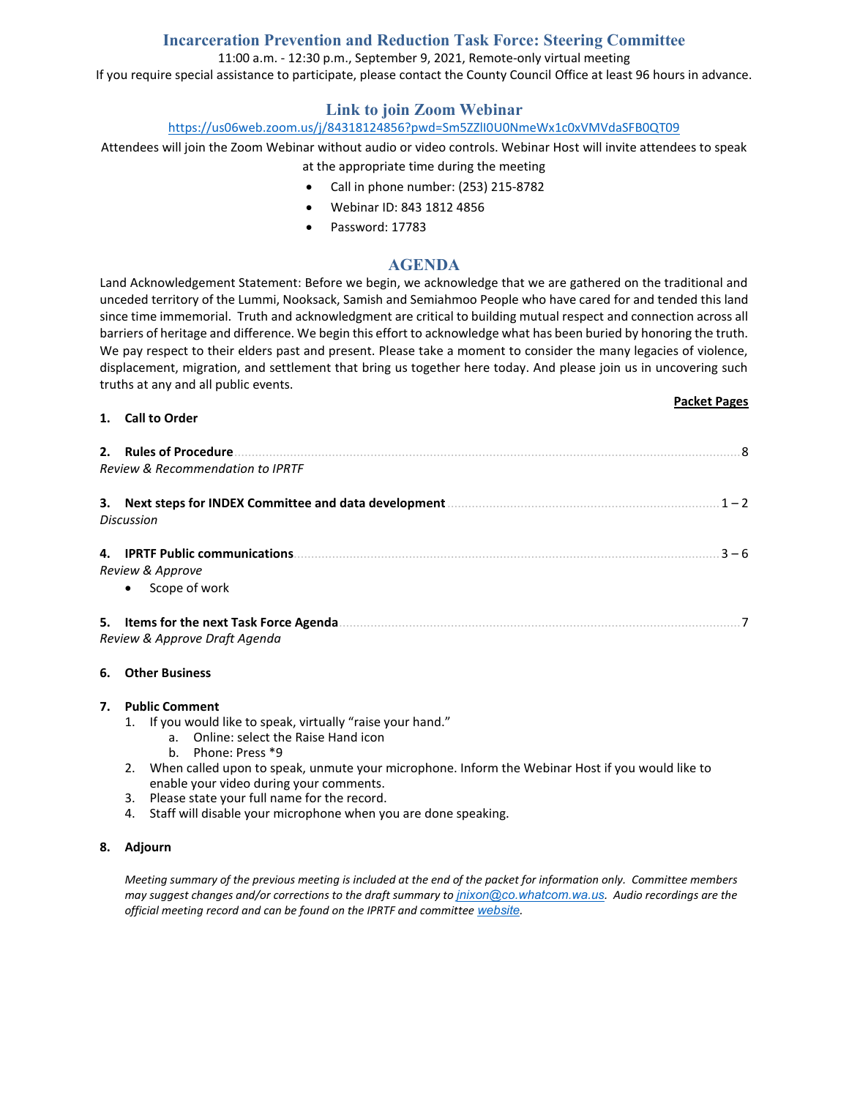# **Incarceration Prevention and Reduction Task Force: Steering Committee**

11:00 a.m. - 12:30 p.m., September 9, 2021, Remote-only virtual meeting

If you require special assistance to participate, please contact the County Council Office at least 96 hours in advance.

## **Link to join Zoom Webinar**

### <https://us06web.zoom.us/j/84318124856?pwd=Sm5ZZlI0U0NmeWx1c0xVMVdaSFB0QT09>

Attendees will join the Zoom Webinar without audio or video controls. Webinar Host will invite attendees to speak

#### at the appropriate time during the meeting

- Call in phone number: (253) 215-8782
- Webinar ID: 843 1812 4856
- Password: 17783

### **AGENDA**

Land Acknowledgement Statement: Before we begin, we acknowledge that we are gathered on the traditional and unceded territory of the Lummi, Nooksack, Samish and Semiahmoo People who have cared for and tended this land since time immemorial. Truth and acknowledgment are critical to building mutual respect and connection across all barriers of heritage and difference. We begin this effort to acknowledge what has been buried by honoring the truth. We pay respect to their elders past and present. Please take a moment to consider the many legacies of violence, displacement, migration, and settlement that bring us together here today. And please join us in uncovering such truths at any and all public events.

#### **Packet Pages**

|    | 2. Rules of Procedure<br>8<br><b>Review &amp; Recommendation to IPRTF</b>                        |
|----|--------------------------------------------------------------------------------------------------|
|    | 3. Next steps for INDEX Committee and data development.<br>$1 - 2$<br><b>Discussion</b>          |
| 4. | <b>IPRTF Public communications.</b><br>$3 - 6$<br>Review & Approve<br>Scope of work<br>$\bullet$ |
|    | 5. Items for the next Task Force Agenda<br>Review & Approve Draft Agenda                         |

### **6. Other Business**

**1. Call to Order**

#### **7. Public Comment**

- 1. If you would like to speak, virtually "raise your hand."
	- a. Online: select the Raise Hand icon
	- b. Phone: Press \*9
- 2. When called upon to speak, unmute your microphone. Inform the Webinar Host if you would like to enable your video during your comments.
- 3. Please state your full name for the record.
- 4. Staff will disable your microphone when you are done speaking.

### **8. Adjourn**

*Meeting summary of the previous meeting is included at the end of the packet for information only. Committee members may suggest changes and/or corrections to the draft summary to [jnixon@co.whatcom.wa.us](mailto:jnixon@co.whatcom.wa.us). Audio recordings are the official meeting record and can be found on the IPRTF and committee [website](http://www.co.whatcom.wa.us/2052/Incarceration-Prevention-and-Reduction-T).*